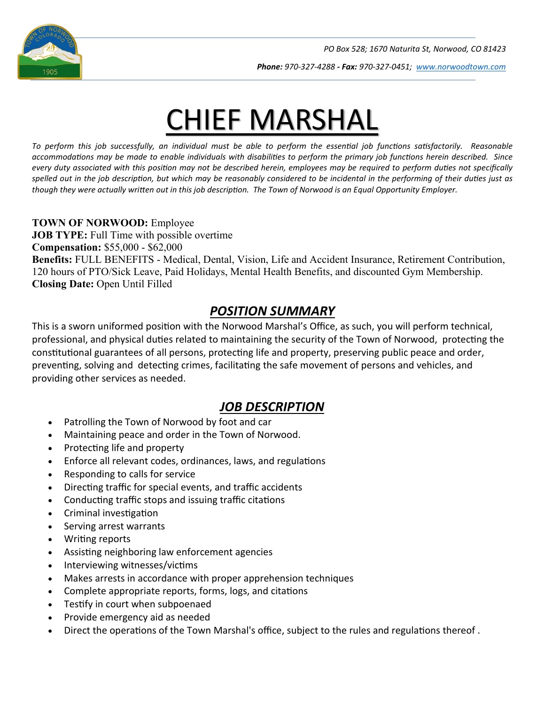

*Phone: 970-327-4288 - Fax: 970-327-0451; [www.norwoodtown.com](http://www.norwoodtown.com/)*

# CHIEF MARSHAL

*To perform this job successfully, an individual must be able to perform the essential job functions satisfactorily. Reasonable accommodations may be made to enable individuals with disabilities to perform the primary job functions herein described. Since every duty associated with this position may not be described herein, employees may be required to perform duties not specifically spelled out in the job description, but which may be reasonably considered to be incidental in the performing of their duties just as though they were actually written out in this job description. The Town of Norwood is an Equal Opportunity Employer.*

#### **TOWN OF NORWOOD:** Employee

**JOB TYPE:** Full Time with possible overtime **Compensation:** \$55,000 - \$62,000 **Benefits:** FULL BENEFITS - Medical, Dental, Vision, Life and Accident Insurance, Retirement Contribution, 120 hours of PTO/Sick Leave, Paid Holidays, Mental Health Benefits, and discounted Gym Membership. **Closing Date:** Open Until Filled

#### *POSITION SUMMARY*

This is a sworn uniformed position with the Norwood Marshal's Office, as such, you will perform technical, professional, and physical duties related to maintaining the security of the Town of Norwood, protecting the constitutional guarantees of all persons, protecting life and property, preserving public peace and order, preventing, solving and detecting crimes, facilitating the safe movement of persons and vehicles, and providing other services as needed.

### *JOB DESCRIPTION*

- Patrolling the Town of Norwood by foot and car
- Maintaining peace and order in the Town of Norwood.
- Protecting life and property
- Enforce all relevant codes, ordinances, laws, and regulations
- Responding to calls for service
- Directing traffic for special events, and traffic accidents
- Conducting traffic stops and issuing traffic citations
- Criminal investigation
- Serving arrest warrants
- **Writing reports**
- Assisting neighboring law enforcement agencies
- Interviewing witnesses/victims
- Makes arrests in accordance with proper apprehension techniques
- Complete appropriate reports, forms, logs, and citations
- Testify in court when subpoenaed
- Provide emergency aid as needed
- Direct the operations of the Town Marshal's office, subject to the rules and regulations thereof.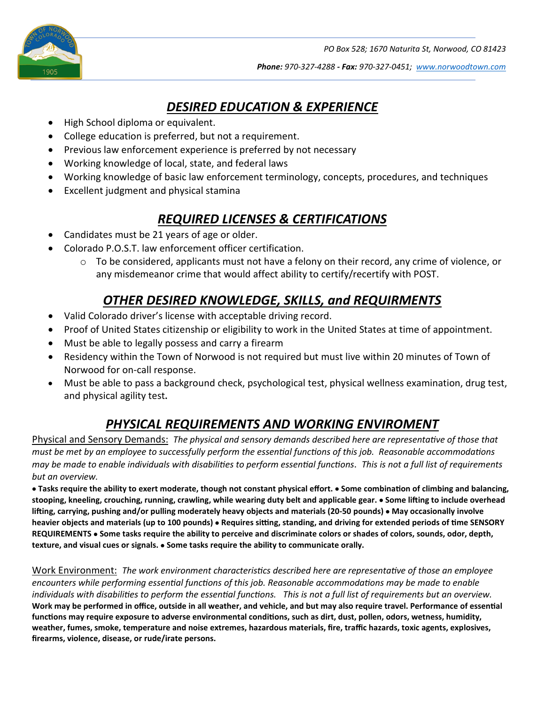

*Phone: 970-327-4288 - Fax: 970-327-0451; [www.norwoodtown.com](http://www.norwoodtown.com/)*

## *DESIRED EDUCATION & EXPERIENCE*

- High School diploma or equivalent.
- College education is preferred, but not a requirement.
- Previous law enforcement experience is preferred by not necessary
- Working knowledge of local, state, and federal laws
- Working knowledge of basic law enforcement terminology, concepts, procedures, and techniques
- Excellent judgment and physical stamina

## *REQUIRED LICENSES & CERTIFICATIONS*

- Candidates must be 21 years of age or older.
- Colorado P.O.S.T. law enforcement officer certification.
	- $\circ$  To be considered, applicants must not have a felony on their record, any crime of violence, or any misdemeanor crime that would affect ability to certify/recertify with POST.

## *OTHER DESIRED KNOWLEDGE, SKILLS, and REQUIRMENTS*

- Valid Colorado driver's license with acceptable driving record.
- Proof of United States citizenship or eligibility to work in the United States at time of appointment.
- Must be able to legally possess and carry a firearm
- Residency within the Town of Norwood is not required but must live within 20 minutes of Town of Norwood for on-call response.
- Must be able to pass a background check, psychological test, physical wellness examination, drug test, and physical agility test**.**

## *PHYSICAL REQUIREMENTS AND WORKING ENVIROMENT*

Physical and Sensory Demands: *The physical and sensory demands described here are representative of those that must be met by an employee to successfully perform the essential functions of this job. Reasonable accommodations may be made to enable individuals with disabilities to perform essential functions*. *This is not a full list of requirements but an overview.*

• Tasks require the ability to exert moderate, though not constant physical effort. • Some combination of climbing and balancing, **stooping, kneeling, crouching, running, crawling, while wearing duty belt and applicable gear.** • **Some li�ing to include overhead li�ing, carrying, pushing and/or pulling moderately heavy objects and materials (20-50 pounds)** • **May occasionally involve**  heavier objects and materials (up to 100 pounds) • Requires sitting, standing, and driving for extended periods of time SENSORY **REQUIREMENTS** • **Some tasks require the ability to perceive and discriminate colors or shades of colors, sounds, odor, depth, texture, and visual cues or signals.** • **Some tasks require the ability to communicate orally.** 

Work Environment: *The work environment characteristics described here are representative of those an employee encounters while performing essential functions of this job. Reasonable accommodations may be made to enable individuals with disabilities to perform the essential functions. This is not a full list of requirements but an overview.* **Work may be performed in office, outside in all weather, and vehicle, and but may also require travel. Performance of essen�al**  functions may require exposure to adverse environmental conditions, such as dirt, dust, pollen, odors, wetness, humidity, **weather, fumes, smoke, temperature and noise extremes, hazardous materials, fire, traffic hazards, toxic agents, explosives, firearms, violence, disease, or rude/irate persons.**